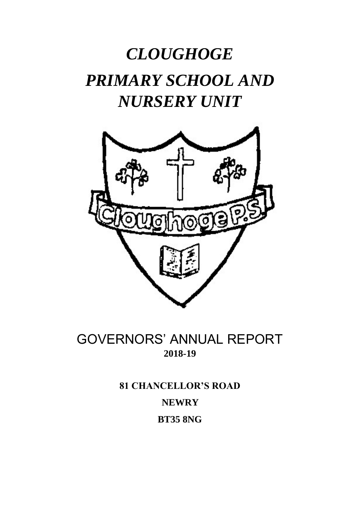# *CLOUGHOGE PRIMARY SCHOOL AND NURSERY UNIT*



## GOVERNORS' ANNUAL REPORT **2018-19**

**81 CHANCELLOR'S ROAD NEWRY BT35 8NG**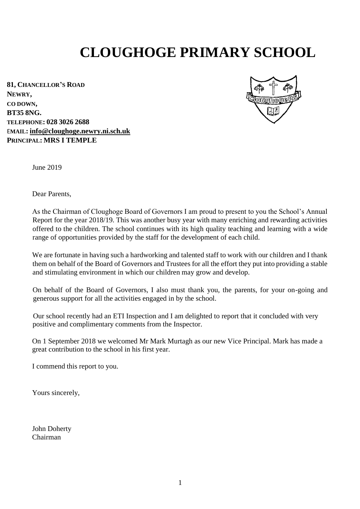## **CLOUGHOGE PRIMARY SCHOOL**

**81, CHANCELLOR'S ROAD NEWRY, CO DOWN, BT35 8NG. TELEPHONE: 028 3026 2688**  E**MAIL: info@cloughoge.newry.ni.sch.uk PRINCIPAL: MRS I TEMPLE**



June 2019

Dear Parents,

As the Chairman of Cloughoge Board of Governors I am proud to present to you the School's Annual Report for the year 2018/19. This was another busy year with many enriching and rewarding activities offered to the children. The school continues with its high quality teaching and learning with a wide range of opportunities provided by the staff for the development of each child.

We are fortunate in having such a hardworking and talented staff to work with our children and I thank them on behalf of the Board of Governors and Trustees for all the effort they put into providing a stable and stimulating environment in which our children may grow and develop.

On behalf of the Board of Governors, I also must thank you, the parents, for your on-going and generous support for all the activities engaged in by the school.

Our school recently had an ETI Inspection and I am delighted to report that it concluded with very positive and complimentary comments from the Inspector.

On 1 September 2018 we welcomed Mr Mark Murtagh as our new Vice Principal. Mark has made a great contribution to the school in his first year.

I commend this report to you.

Yours sincerely,

John Doherty Chairman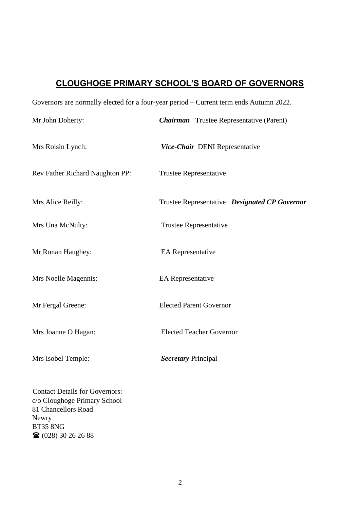## **CLOUGHOGE PRIMARY SCHOOL'S BOARD OF GOVERNORS**

| Governors are normally elected for a four-year period – Current term ends Autumn 2022.                                                                               |                                                 |  |
|----------------------------------------------------------------------------------------------------------------------------------------------------------------------|-------------------------------------------------|--|
| Mr John Doherty:                                                                                                                                                     | <b>Chairman</b> Trustee Representative (Parent) |  |
| Mrs Roisin Lynch:                                                                                                                                                    | Vice-Chair DENI Representative                  |  |
| Rev Father Richard Naughton PP:                                                                                                                                      | <b>Trustee Representative</b>                   |  |
| Mrs Alice Reilly:                                                                                                                                                    | Trustee Representative Designated CP Governor   |  |
| Mrs Una McNulty:                                                                                                                                                     | <b>Trustee Representative</b>                   |  |
| Mr Ronan Haughey:                                                                                                                                                    | <b>EA</b> Representative                        |  |
| Mrs Noelle Magennis:                                                                                                                                                 | <b>EA</b> Representative                        |  |
| Mr Fergal Greene:                                                                                                                                                    | <b>Elected Parent Governor</b>                  |  |
| Mrs Joanne O Hagan:                                                                                                                                                  | <b>Elected Teacher Governor</b>                 |  |
| Mrs Isobel Temple:                                                                                                                                                   | <b>Secretary Principal</b>                      |  |
| <b>Contact Details for Governors:</b><br>c/o Cloughoge Primary School<br>81 Chancellors Road<br>Newry<br><b>BT35 8NG</b><br>$\mathbf{\widehat{a}}$ (028) 30 26 26 88 |                                                 |  |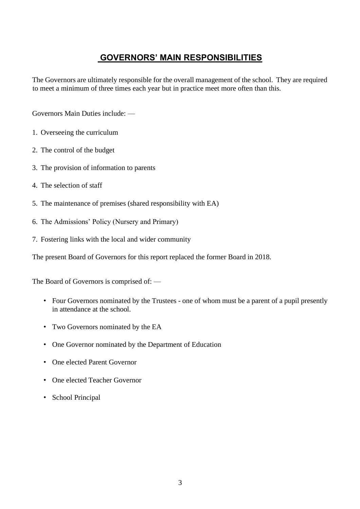## **GOVERNORS' MAIN RESPONSIBILITIES**

The Governors are ultimately responsible for the overall management of the school. They are required to meet a minimum of three times each year but in practice meet more often than this.

Governors Main Duties include: —

- 1. Overseeing the curriculum
- 2. The control of the budget
- 3. The provision of information to parents
- 4. The selection of staff
- 5. The maintenance of premises (shared responsibility with EA)
- 6. The Admissions' Policy (Nursery and Primary)
- 7. Fostering links with the local and wider community

The present Board of Governors for this report replaced the former Board in 2018.

The Board of Governors is comprised of: —

- Four Governors nominated by the Trustees one of whom must be a parent of a pupil presently in attendance at the school.
- Two Governors nominated by the EA
- One Governor nominated by the Department of Education
- One elected Parent Governor
- One elected Teacher Governor
- School Principal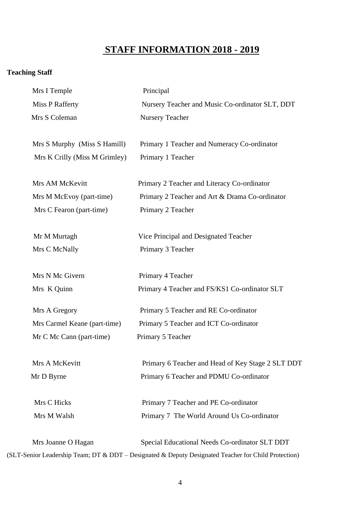## **STAFF INFORMATION 2018 - 2019**

## **Teaching Staff**

| Mrs I Temple                  | Principal                                                                                            |
|-------------------------------|------------------------------------------------------------------------------------------------------|
| <b>Miss P Rafferty</b>        | Nursery Teacher and Music Co-ordinator SLT, DDT                                                      |
| Mrs S Coleman                 | <b>Nursery Teacher</b>                                                                               |
| Mrs S Murphy (Miss S Hamill)  | Primary 1 Teacher and Numeracy Co-ordinator                                                          |
| Mrs K Crilly (Miss M Grimley) | Primary 1 Teacher                                                                                    |
| Mrs AM McKevitt               | Primary 2 Teacher and Literacy Co-ordinator                                                          |
| Mrs M McEvoy (part-time)      | Primary 2 Teacher and Art & Drama Co-ordinator                                                       |
| Mrs C Fearon (part-time)      | Primary 2 Teacher                                                                                    |
| Mr M Murtagh                  | Vice Principal and Designated Teacher                                                                |
| Mrs C McNally                 | Primary 3 Teacher                                                                                    |
| Mrs N Mc Givern               | Primary 4 Teacher                                                                                    |
| Mrs K Quinn                   | Primary 4 Teacher and FS/KS1 Co-ordinator SLT                                                        |
| Mrs A Gregory                 | Primary 5 Teacher and RE Co-ordinator                                                                |
| Mrs Carmel Keane (part-time)  | Primary 5 Teacher and ICT Co-ordinator                                                               |
| Mr C Mc Cann (part-time)      | Primary 5 Teacher                                                                                    |
| Mrs A McKevitt                | Primary 6 Teacher and Head of Key Stage 2 SLT DDT                                                    |
| Mr D Byrne                    | Primary 6 Teacher and PDMU Co-ordinator                                                              |
| Mrs C Hicks                   | Primary 7 Teacher and PE Co-ordinator                                                                |
| Mrs M Walsh                   | Primary 7 The World Around Us Co-ordinator                                                           |
| Mrs Joanne O Hagan            | Special Educational Needs Co-ordinator SLT DDT                                                       |
|                               | (SLT-Senior Leadership Team; DT & DDT - Designated & Deputy Designated Teacher for Child Protection) |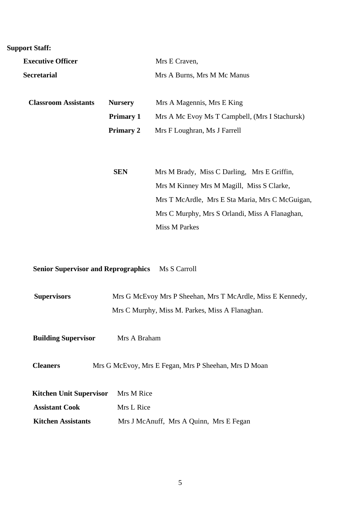## **Support Staff:**

| <b>Executive Officer</b>    |                  | Mrs E Craven,                                   |
|-----------------------------|------------------|-------------------------------------------------|
| <b>Secretarial</b>          |                  | Mrs A Burns, Mrs M Mc Manus                     |
| <b>Classroom Assistants</b> | <b>Nursery</b>   | Mrs A Magennis, Mrs E King                      |
|                             | <b>Primary 1</b> | Mrs A Mc Evoy Ms T Campbell, (Mrs I Stachursk)  |
|                             | <b>Primary 2</b> | Mrs F Loughran, Ms J Farrell                    |
|                             |                  |                                                 |
|                             | <b>SEN</b>       | Mrs M Brady, Miss C Darling, Mrs E Griffin,     |
|                             |                  | Mrs M Kinney Mrs M Magill, Miss S Clarke,       |
|                             |                  | Mrs T McArdle, Mrs E Sta Maria, Mrs C McGuigan, |
|                             |                  | Mrs C Murphy, Mrs S Orlandi, Miss A Flanaghan,  |
|                             |                  | Miss M Parkes                                   |

**Senior Supervisor and Reprographics** Ms S Carroll

| <b>Supervisors</b> | Mrs G McEvoy Mrs P Sheehan, Mrs T McArdle, Miss E Kennedy, |
|--------------------|------------------------------------------------------------|
|                    | Mrs C Murphy, Miss M. Parkes, Miss A Flanaghan.            |

**Building Supervisor** Mrs A Braham

**Cleaners** Mrs G McEvoy, Mrs E Fegan, Mrs P Sheehan, Mrs D Moan

| <b>Kitchen Unit Supervisor</b> Mrs M Rice |                                         |
|-------------------------------------------|-----------------------------------------|
| <b>Assistant Cook</b>                     | Mrs L Rice                              |
| <b>Kitchen Assistants</b>                 | Mrs J McAnuff, Mrs A Quinn, Mrs E Fegan |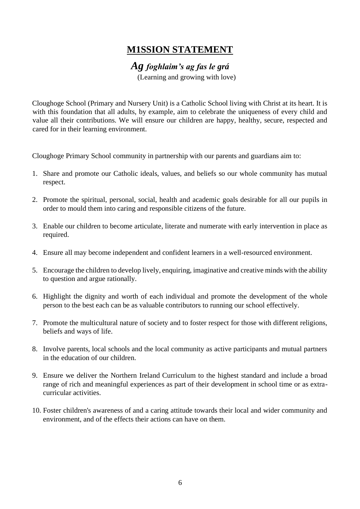## **M1SSION STATEMENT**

## *Ag foghlaim's ag fas le grá*

(Learning and growing with love)

Cloughoge School (Primary and Nursery Unit) is a Catholic School living with Christ at its heart. It is with this foundation that all adults, by example, aim to celebrate the uniqueness of every child and value all their contributions. We will ensure our children are happy, healthy, secure, respected and cared for in their learning environment.

Cloughoge Primary School community in partnership with our parents and guardians aim to:

- 1. Share and promote our Catholic ideals, values, and beliefs so our whole community has mutual respect.
- 2. Promote the spiritual, personal, social, health and academic goals desirable for all our pupils in order to mould them into caring and responsible citizens of the future.
- 3. Enable our children to become articulate, literate and numerate with early intervention in place as required.
- 4. Ensure all may become independent and confident learners in a well-resourced environment.
- 5. Encourage the children to develop lively, enquiring, imaginative and creative minds with the ability to question and argue rationally.
- 6. Highlight the dignity and worth of each individual and promote the development of the whole person to the best each can be as valuable contributors to running our school effectively.
- 7. Promote the multicultural nature of society and to foster respect for those with different religions, beliefs and ways of life.
- 8. Involve parents, local schools and the local community as active participants and mutual partners in the education of our children.
- 9. Ensure we deliver the Northern Ireland Curriculum to the highest standard and include a broad range of rich and meaningful experiences as part of their development in school time or as extracurricular activities.
- 10. Foster children's awareness of and a caring attitude towards their local and wider community and environment, and of the effects their actions can have on them.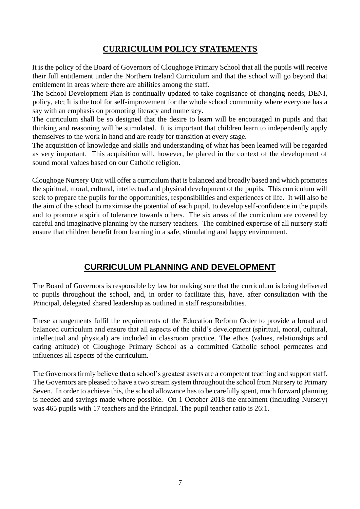## **CURRICULUM POLICY STATEMENTS**

It is the policy of the Board of Governors of Cloughoge Primary School that all the pupils will receive their full entitlement under the Northern Ireland Curriculum and that the school will go beyond that entitlement in areas where there are abilities among the staff.

The School Development Plan is continually updated to take cognisance of changing needs, DENI, policy, etc; It is the tool for self-improvement for the whole school community where everyone has a say with an emphasis on promoting literacy and numeracy.

The curriculum shall be so designed that the desire to learn will be encouraged in pupils and that thinking and reasoning will be stimulated. It is important that children learn to independently apply themselves to the work in hand and are ready for transition at every stage.

The acquisition of knowledge and skills and understanding of what has been learned will be regarded as very important. This acquisition will, however, be placed in the context of the development of sound moral values based on our Catholic religion.

Cloughoge Nursery Unit will offer a curriculum that is balanced and broadly based and which promotes the spiritual, moral, cultural, intellectual and physical development of the pupils. This curriculum will seek to prepare the pupils for the opportunities, responsibilities and experiences of life. It will also be the aim of the school to maximise the potential of each pupil, to develop self-confidence in the pupils and to promote a spirit of tolerance towards others. The six areas of the curriculum are covered by careful and imaginative planning by the nursery teachers. The combined expertise of all nursery staff ensure that children benefit from learning in a safe, stimulating and happy environment.

## **CURRICULUM PLANNING AND DEVELOPMENT**

The Board of Governors is responsible by law for making sure that the curriculum is being delivered to pupils throughout the school, and, in order to facilitate this, have, after consultation with the Principal, delegated shared leadership as outlined in staff responsibilities.

These arrangements fulfil the requirements of the Education Reform Order to provide a broad and balanced curriculum and ensure that all aspects of the child's development (spiritual, moral, cultural, intellectual and physical) are included in classroom practice. The ethos (values, relationships and caring attitude) of Cloughoge Primary School as a committed Catholic school permeates and influences all aspects of the curriculum.

The Governors firmly believe that a school's greatest assets are a competent teaching and support staff. The Governors are pleased to have a two stream system throughout the school from Nursery to Primary Seven. In order to achieve this, the school allowance has to be carefully spent, much forward planning is needed and savings made where possible. On 1 October 2018 the enrolment (including Nursery) was 465 pupils with 17 teachers and the Principal. The pupil teacher ratio is 26:1.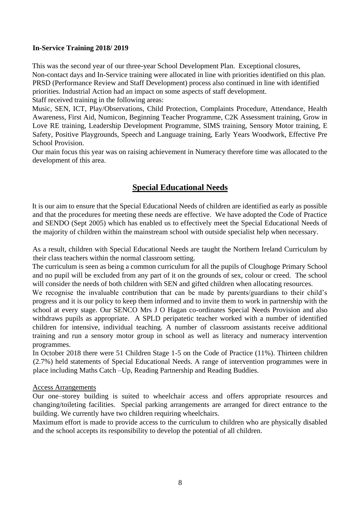#### **In-Service Training 2018/ 2019**

This was the second year of our three-year School Development Plan. Exceptional closures, Non-contact days and In-Service training were allocated in line with priorities identified on this plan. PRSD (Performance Review and Staff Development) process also continued in line with identified priorities. Industrial Action had an impact on some aspects of staff development.

Staff received training in the following areas:

Music, SEN, ICT, Play/Observations, Child Protection, Complaints Procedure, Attendance, Health Awareness, First Aid, Numicon, Beginning Teacher Programme, C2K Assessment training, Grow in Love RE training, Leadership Development Programme, SIMS training, Sensory Motor training, E Safety, Positive Playgrounds, Speech and Language training, Early Years Woodwork, Effective Pre School Provision.

Our main focus this year was on raising achievement in Numeracy therefore time was allocated to the development of this area.

## **Special Educational Needs**

It is our aim to ensure that the Special Educational Needs of children are identified as early as possible and that the procedures for meeting these needs are effective. We have adopted the Code of Practice and SENDO (Sept 2005) which has enabled us to effectively meet the Special Educational Needs of the majority of children within the mainstream school with outside specialist help when necessary.

As a result, children with Special Educational Needs are taught the Northern Ireland Curriculum by their class teachers within the normal classroom setting.

The curriculum is seen as being a common curriculum for all the pupils of Cloughoge Primary School and no pupil will be excluded from any part of it on the grounds of sex, colour or creed. The school will consider the needs of both children with SEN and gifted children when allocating resources.

We recognise the invaluable contribution that can be made by parents/guardians to their child's progress and it is our policy to keep them informed and to invite them to work in partnership with the school at every stage. Our SENCO Mrs J O Hagan co-ordinates Special Needs Provision and also withdraws pupils as appropriate. A SPLD peripatetic teacher worked with a number of identified children for intensive, individual teaching. A number of classroom assistants receive additional training and run a sensory motor group in school as well as literacy and numeracy intervention programmes.

In October 2018 there were 51 Children Stage 1-5 on the Code of Practice (11%). Thirteen children (2.7%) held statements of Special Educational Needs. A range of intervention programmes were in place including Maths Catch –Up, Reading Partnership and Reading Buddies.

#### Access Arrangements

Our one–storey building is suited to wheelchair access and offers appropriate resources and changing/toileting facilities. Special parking arrangements are arranged for direct entrance to the building. We currently have two children requiring wheelchairs.

Maximum effort is made to provide access to the curriculum to children who are physically disabled and the school accepts its responsibility to develop the potential of all children.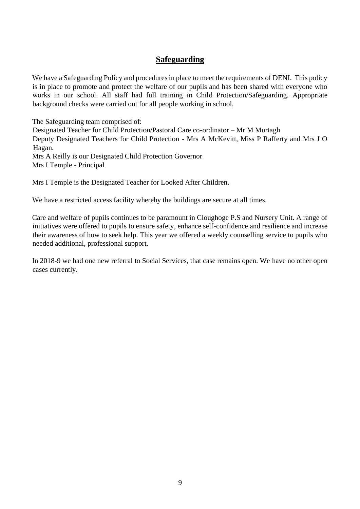#### **Safeguarding**

We have a Safeguarding Policy and procedures in place to meet the requirements of DENI. This policy is in place to promote and protect the welfare of our pupils and has been shared with everyone who works in our school. All staff had full training in Child Protection/Safeguarding. Appropriate background checks were carried out for all people working in school.

The Safeguarding team comprised of:

Designated Teacher for Child Protection/Pastoral Care co-ordinator – Mr M Murtagh Deputy Designated Teachers for Child Protection - Mrs A McKevitt, Miss P Rafferty and Mrs J O Hagan. Mrs A Reilly is our Designated Child Protection Governor Mrs I Temple - Principal

Mrs I Temple is the Designated Teacher for Looked After Children.

We have a restricted access facility whereby the buildings are secure at all times.

Care and welfare of pupils continues to be paramount in Cloughoge P.S and Nursery Unit. A range of initiatives were offered to pupils to ensure safety, enhance self-confidence and resilience and increase their awareness of how to seek help. This year we offered a weekly counselling service to pupils who needed additional, professional support.

In 2018-9 we had one new referral to Social Services, that case remains open. We have no other open cases currently.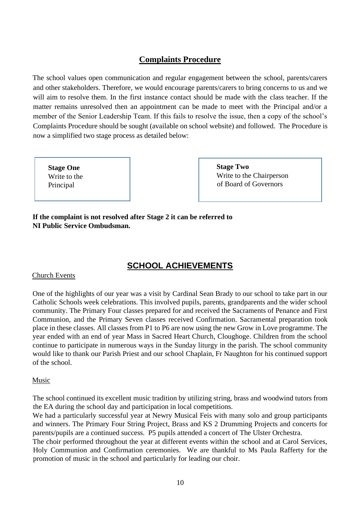## **Complaints Procedure**

The school values open communication and regular engagement between the school, parents/carers and other stakeholders. Therefore, we would encourage parents/carers to bring concerns to us and we will aim to resolve them. In the first instance contact should be made with the class teacher. If the matter remains unresolved then an appointment can be made to meet with the Principal and/or a member of the Senior Leadership Team. If this fails to resolve the issue, then a copy of the school's Complaints Procedure should be sought (available on school website) and followed. The Procedure is now a simplified two stage process as detailed below:

**Stage One** Write to the Principal

**Stage Two** Write to the Chairperson of Board of Governors

**If the complaint is not resolved after Stage 2 it can be referred to NI Public Service Ombudsman.**

## **SCHOOL ACHIEVEMENTS**

#### Church Events

One of the highlights of our year was a visit by Cardinal Sean Brady to our school to take part in our Catholic Schools week celebrations. This involved pupils, parents, grandparents and the wider school community. The Primary Four classes prepared for and received the Sacraments of Penance and First Communion, and the Primary Seven classes received Confirmation. Sacramental preparation took place in these classes. All classes from P1 to P6 are now using the new Grow in Love programme. The year ended with an end of year Mass in Sacred Heart Church, Cloughoge. Children from the school continue to participate in numerous ways in the Sunday liturgy in the parish. The school community would like to thank our Parish Priest and our school Chaplain, Fr Naughton for his continued support of the school.

#### Music

The school continued its excellent music tradition by utilizing string, brass and woodwind tutors from the EA during the school day and participation in local competitions.

We had a particularly successful year at Newry Musical Feis with many solo and group participants and winners. The Primary Four String Project, Brass and KS 2 Drumming Projects and concerts for parents/pupils are a continued success. P5 pupils attended a concert of The Ulster Orchestra.

The choir performed throughout the year at different events within the school and at Carol Services, Holy Communion and Confirmation ceremonies. We are thankful to Ms Paula Rafferty for the promotion of music in the school and particularly for leading our choir.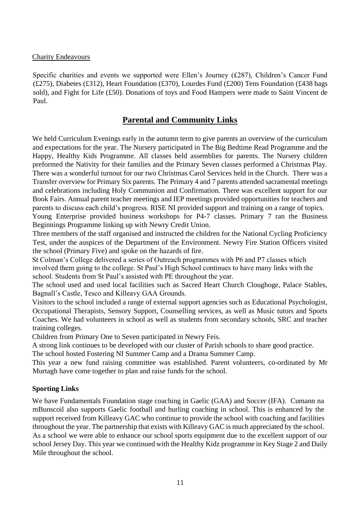#### Charity Endeavours

Specific charities and events we supported were Ellen's Journey (£287), Children's Cancer Fund (£275), Diabetes (£312), Heart Foundation (£370), Lourdes Fund (£200) Tens Foundation (£438 bags sold), and Fight for Life (£50). Donations of toys and Food Hampers were made to Saint Vincent de Paul.

#### **Parental and Community Links**

We held Curriculum Evenings early in the autumn term to give parents an overview of the curriculum and expectations for the year. The Nursery participated in The Big Bedtime Read Programme and the Happy, Healthy Kids Programme. All classes held assemblies for parents. The Nursery children preformed the Nativity for their families and the Primary Seven classes performed a Christmas Play. There was a wonderful turnout for our two Christmas Carol Services held in the Church. There was a Transfer overview for Primary Six parents. The Primary 4 and 7 parents attended sacramental meetings and celebrations including Holy Communion and Confirmation. There was excellent support for our Book Fairs. Annual parent teacher meetings and IEP meetings provided opportunities for teachers and parents to discuss each child's progress. RISE NI provided support and training on a range of topics.

Young Enterprise provided business workshops for P4-7 classes. Primary 7 ran the Business Beginnings Programme linking up with Newry Credit Union.

Three members of the staff organised and instructed the children for the National Cycling Proficiency Test, under the auspices of the Department of the Environment. Newry Fire Station Officers visited the school (Primary Five) and spoke on the hazards of fire.

St Colman's College delivered a series of Outreach programmes with P6 and P7 classes which involved them going to the college. St Paul's High School continues to have many links with the school. Students from St Paul's assisted with PE throughout the year.

The school used and used local facilities such as Sacred Heart Church Cloughoge, Palace Stables, Bagnall's Castle, Tesco and Killeavy GAA Grounds.

Visitors to the school included a range of external support agencies such as Educational Psychologist, Occupational Therapists, Sensory Support, Counselling services, as well as Music tutors and Sports Coaches. We had volunteers in school as well as students from secondary schools, SRC and teacher training colleges.

Children from Primary One to Seven participated in Newry Feis.

A strong link continues to be developed with our cluster of Parish schools to share good practice.

The school hosted Fostering NI Summer Camp and a Drama Summer Camp.

This year a new fund raising committee was established. Parent volunteers, co-ordinated by Mr Murtagh have come together to plan and raise funds for the school.

#### **Sporting Links**

We have Fundamentals Foundation stage coaching in Gaelic (GAA) and Soccer (IFA). Cumann na mBunscoil also supports Gaelic football and hurling coaching in school. This is enhanced by the support received from Killeavy GAC who continue to provide the school with coaching and facilities throughout the year. The partnership that exists with Killeavy GAC is much appreciated by the school. As a school we were able to enhance our school sports equipment due to the excellent support of our school Jersey Day. This year we continued with the Healthy Kidz programme in Key Stage 2 and Daily Mile throughout the school.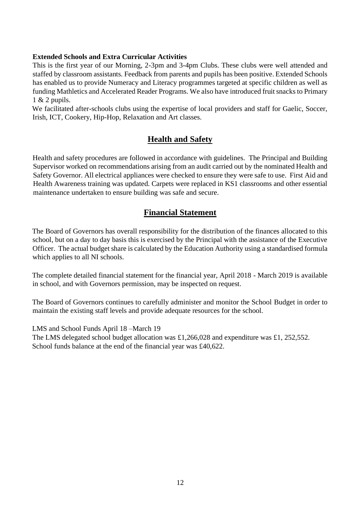#### **Extended Schools and Extra Curricular Activities**

This is the first year of our Morning, 2-3pm and 3-4pm Clubs. These clubs were well attended and staffed by classroom assistants. Feedback from parents and pupils has been positive. Extended Schools has enabled us to provide Numeracy and Literacy programmes targeted at specific children as well as funding Mathletics and Accelerated Reader Programs. We also have introduced fruit snacks to Primary 1 & 2 pupils.

We facilitated after-schools clubs using the expertise of local providers and staff for Gaelic, Soccer, Irish, ICT, Cookery, Hip-Hop, Relaxation and Art classes.

### **Health and Safety**

Health and safety procedures are followed in accordance with guidelines. The Principal and Building Supervisor worked on recommendations arising from an audit carried out by the nominated Health and Safety Governor. All electrical appliances were checked to ensure they were safe to use. First Aid and Health Awareness training was updated. Carpets were replaced in KS1 classrooms and other essential maintenance undertaken to ensure building was safe and secure.

#### **Financial Statement**

The Board of Governors has overall responsibility for the distribution of the finances allocated to this school, but on a day to day basis this is exercised by the Principal with the assistance of the Executive Officer. The actual budget share is calculated by the Education Authority using a standardised formula which applies to all NI schools.

The complete detailed financial statement for the financial year, April 2018 - March 2019 is available in school, and with Governors permission, may be inspected on request.

The Board of Governors continues to carefully administer and monitor the School Budget in order to maintain the existing staff levels and provide adequate resources for the school.

LMS and School Funds April 18 –March 19

 The LMS delegated school budget allocation was £1,266,028 and expenditure was £1, 252,552. School funds balance at the end of the financial year was £40,622.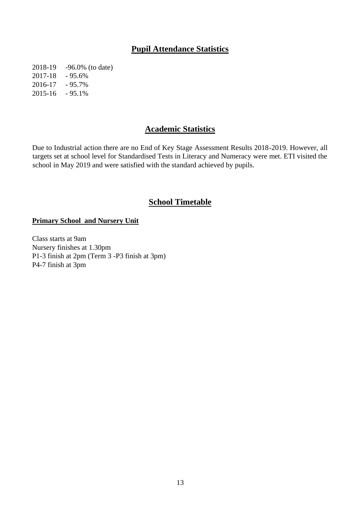### **Pupil Attendance Statistics**

2018-19 -96.0% (to date) 2017-18 - 95.6% 2016-17 - 95.7% 2015-16 - 95.1%

#### **Academic Statistics**

Due to Industrial action there are no End of Key Stage Assessment Results 2018-2019. However, all targets set at school level for Standardised Tests in Literacy and Numeracy were met. ETI visited the school in May 2019 and were satisfied with the standard achieved by pupils.

#### **School Timetable**

#### **Primary School and Nursery Unit**

Class starts at 9am Nursery finishes at 1.30pm P1-3 finish at 2pm (Term 3 -P3 finish at 3pm) P4-7 finish at 3pm